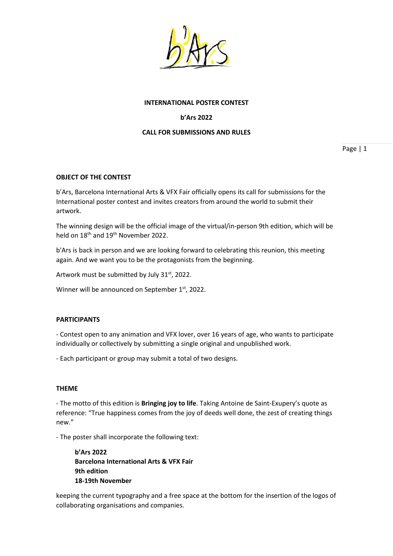

## **INTERNATIONAL POSTER CONTEST**

# **b'Ars 2022**

## **CALL FOR SUBMISSIONS AND RULES**

Page | 1

## **OBJECT OF THE CONTEST**

b'Ars, Barcelona International Arts & VFX Fair officially opens its call for submissions for the International poster contest and invites creators from around the world to submit their artwork.

The winning design will be the official image of the virtual/in-person 9th edition, which will be held on 18<sup>th</sup> and 19<sup>th</sup> November 2022.

b'Ars is back in person and we are looking forward to celebrating this reunion, this meeting again. And we want you to be the protagonists from the beginning.

Artwork must be submitted by July 31<sup>st</sup>, 2022.

Winner will be announced on September  $1<sup>st</sup>$ , 2022.

## **PARTICIPANTS**

- Contest open to any animation and VFX lover, over 16 years of age, who wants to participate individually or collectively by submitting a single original and unpublished work.

- Each participant or group may submit a total of two designs.

#### **THEME**

- The motto of this edition is **Bringing joy to life**. Taking Antoine de Saint-Exupery's quote as reference: "True happiness comes from the joy of deeds well done, the zest of creating things new."

- The poster shall incorporate the following text:

**b'Ars 2022 Barcelona International Arts & VFX Fair 9th edition 18-19th November**

keeping the current typography and a free space at the bottom for the insertion of the logos of collaborating organisations and companies.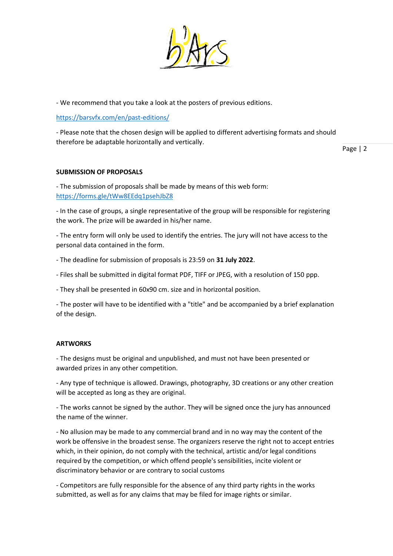

- We recommend that you take a look at the posters of previous editions.

<https://barsvfx.com/en/past-editions/>

- Please note that the chosen design will be applied to different advertising formats and should therefore be adaptable horizontally and vertically.

Page | 2

# **SUBMISSION OF PROPOSALS**

- The submission of proposals shall be made by means of this web form: <https://forms.gle/tWw8EEdq1psehJbZ8>

- In the case of groups, a single representative of the group will be responsible for registering the work. The prize will be awarded in his/her name.

- The entry form will only be used to identify the entries. The jury will not have access to the personal data contained in the form.

- The deadline for submission of proposals is 23:59 on **31 July 2022**.

- Files shall be submitted in digital format PDF, TIFF or JPEG, with a resolution of 150 ppp.

- They shall be presented in 60x90 cm. size and in horizontal position.

- The poster will have to be identified with a "title" and be accompanied by a brief explanation of the design.

## **ARTWORKS**

- The designs must be original and unpublished, and must not have been presented or awarded prizes in any other competition.

- Any type of technique is allowed. Drawings, photography, 3D creations or any other creation will be accepted as long as they are original.

- The works cannot be signed by the author. They will be signed once the jury has announced the name of the winner.

- No allusion may be made to any commercial brand and in no way may the content of the work be offensive in the broadest sense. The organizers reserve the right not to accept entries which, in their opinion, do not comply with the technical, artistic and/or legal conditions required by the competition, or which offend people's sensibilities, incite violent or discriminatory behavior or are contrary to social customs

- Competitors are fully responsible for the absence of any third party rights in the works submitted, as well as for any claims that may be filed for image rights or similar.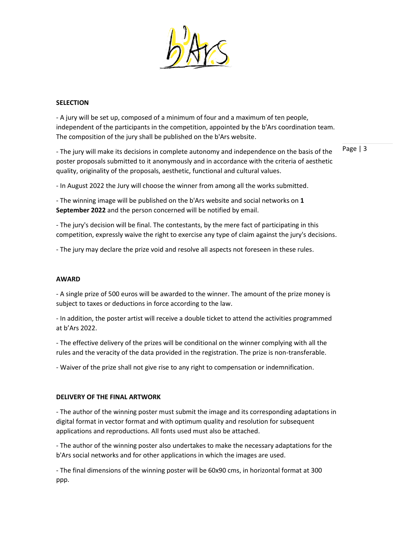

## **SELECTION**

- A jury will be set up, composed of a minimum of four and a maximum of ten people, independent of the participants in the competition, appointed by the b'Ars coordination team. The composition of the jury shall be published on the b'Ars website.

- The jury will make its decisions in complete autonomy and independence on the basis of the poster proposals submitted to it anonymously and in accordance with the criteria of aesthetic quality, originality of the proposals, aesthetic, functional and cultural values.

Page | 3

- In August 2022 the Jury will choose the winner from among all the works submitted.

- The winning image will be published on the b'Ars website and social networks on **1 September 2022** and the person concerned will be notified by email.

- The jury's decision will be final. The contestants, by the mere fact of participating in this competition, expressly waive the right to exercise any type of claim against the jury's decisions.

- The jury may declare the prize void and resolve all aspects not foreseen in these rules.

#### **AWARD**

- A single prize of 500 euros will be awarded to the winner. The amount of the prize money is subject to taxes or deductions in force according to the law.

- In addition, the poster artist will receive a double ticket to attend the activities programmed at b'Ars 2022.

- The effective delivery of the prizes will be conditional on the winner complying with all the rules and the veracity of the data provided in the registration. The prize is non-transferable.

- Waiver of the prize shall not give rise to any right to compensation or indemnification.

#### **DELIVERY OF THE FINAL ARTWORK**

- The author of the winning poster must submit the image and its corresponding adaptations in digital format in vector format and with optimum quality and resolution for subsequent applications and reproductions. All fonts used must also be attached.

- The author of the winning poster also undertakes to make the necessary adaptations for the b'Ars social networks and for other applications in which the images are used.

- The final dimensions of the winning poster will be 60x90 cms, in horizontal format at 300 ppp.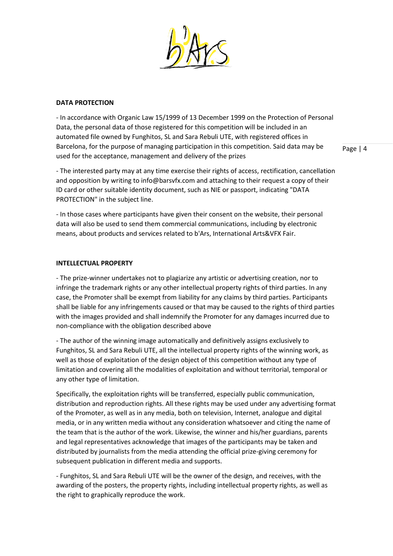

### **DATA PROTECTION**

- In accordance with Organic Law 15/1999 of 13 December 1999 on the Protection of Personal Data, the personal data of those registered for this competition will be included in an automated file owned by Funghitos, SL and Sara Rebuli UTE, with registered offices in Barcelona, for the purpose of managing participation in this competition. Said data may be used for the acceptance, management and delivery of the prizes

- The interested party may at any time exercise their rights of access, rectification, cancellation and opposition by writing to info@barsvfx.com and attaching to their request a copy of their ID card or other suitable identity document, such as NIE or passport, indicating "DATA PROTECTION" in the subject line.

- In those cases where participants have given their consent on the website, their personal data will also be used to send them commercial communications, including by electronic means, about products and services related to b'Ars, International Arts&VFX Fair.

### **INTELLECTUAL PROPERTY**

- The prize-winner undertakes not to plagiarize any artistic or advertising creation, nor to infringe the trademark rights or any other intellectual property rights of third parties. In any case, the Promoter shall be exempt from liability for any claims by third parties. Participants shall be liable for any infringements caused or that may be caused to the rights of third parties with the images provided and shall indemnify the Promoter for any damages incurred due to non-compliance with the obligation described above

- The author of the winning image automatically and definitively assigns exclusively to Funghitos, SL and Sara Rebuli UTE, all the intellectual property rights of the winning work, as well as those of exploitation of the design object of this competition without any type of limitation and covering all the modalities of exploitation and without territorial, temporal or any other type of limitation.

Specifically, the exploitation rights will be transferred, especially public communication, distribution and reproduction rights. All these rights may be used under any advertising format of the Promoter, as well as in any media, both on television, Internet, analogue and digital media, or in any written media without any consideration whatsoever and citing the name of the team that is the author of the work. Likewise, the winner and his/her guardians, parents and legal representatives acknowledge that images of the participants may be taken and distributed by journalists from the media attending the official prize-giving ceremony for subsequent publication in different media and supports.

- Funghitos, SL and Sara Rebuli UTE will be the owner of the design, and receives, with the awarding of the posters, the property rights, including intellectual property rights, as well as the right to graphically reproduce the work.

Page | 4